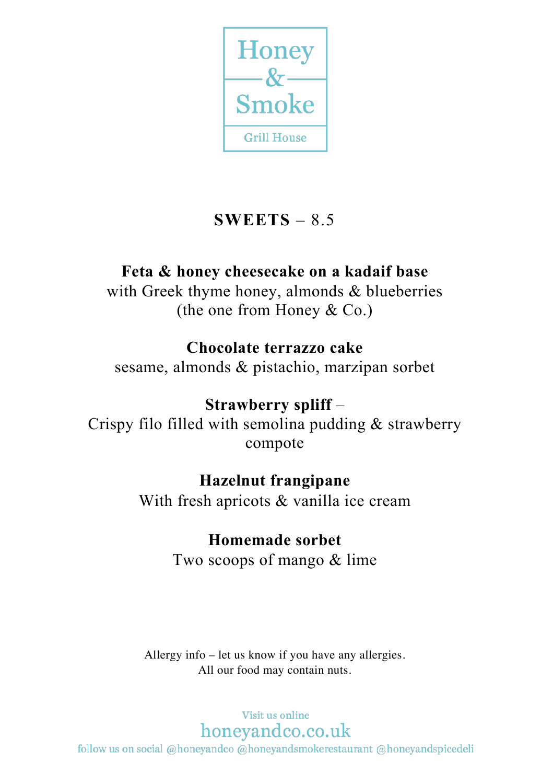

# **SWEETS** – 8.5

## **Feta & honey cheesecake on a kadaif base**

with Greek thyme honey, almonds & blueberries (the one from Honey & Co.)

### **Chocolate terrazzo cake**

sesame, almonds & pistachio, marzipan sorbet

## **Strawberry spliff** –

Crispy filo filled with semolina pudding & strawberry compote

## **Hazelnut frangipane**

With fresh apricots & vanilla ice cream

## **Homemade sorbet**

Two scoops of mango & lime

Allergy info – let us know if you have any allergies. All our food may contain nuts.

#### Visit us online honeyandco.co.uk

follow us on social @honeyandco @honeyandsmokerestaurant @honeyandspicedeli